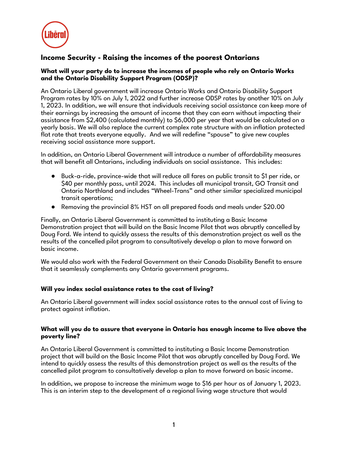

# **Income Security - Raising the incomes of the poorest Ontarians**

## **What will your party do to increase the incomes of people who rely on Ontario Works and the Ontario Disability Support Program (ODSP)?**

An Ontario Liberal government will increase Ontario Works and Ontario Disability Support Program rates by 10% on July 1, 2022 and further increase ODSP rates by another 10% on July 1, 2023. In addition, we will ensure that individuals receiving social assistance can keep more of their earnings by increasing the amount of income that they can earn without impacting their assistance from \$2,400 (calculated monthly) to \$6,000 per year that would be calculated on a yearly basis. We will also replace the current complex rate structure with an inflation protected flat rate that treats everyone equally. And we will redefine "spouse" to give new couples receiving social assistance more support.

In addition, an Ontario Liberal Government will introduce a number of affordability measures that will benefit all Ontarians, including individuals on social assistance. This includes:

- Buck-a-ride, province-wide that will reduce all fares on public transit to \$1 per ride, or \$40 per monthly pass, until 2024. This includes all municipal transit, GO Transit and Ontario Northland and includes "Wheel-Trans" and other similar specialized municipal transit operations;
- Removing the provincial 8% HST on all prepared foods and meals under \$20.00

Finally, an Ontario Liberal Government is committed to instituting a Basic Income Demonstration project that will build on the Basic Income Pilot that was abruptly cancelled by Doug Ford. We intend to quickly assess the results of this demonstration project as well as the results of the cancelled pilot program to consultatively develop a plan to move forward on basic income.

We would also work with the Federal Government on their Canada Disability Benefit to ensure that it seamlessly complements any Ontario government programs.

## **Will you index social assistance rates to the cost of living?**

An Ontario Liberal government will index social assistance rates to the annual cost of living to protect against inflation.

## **What will you do to assure that everyone in Ontario has enough income to live above the poverty line?**

An Ontario Liberal Government is committed to instituting a Basic Income Demonstration project that will build on the Basic Income Pilot that was abruptly cancelled by Doug Ford. We intend to quickly assess the results of this demonstration project as well as the results of the cancelled pilot program to consultatively develop a plan to move forward on basic income.

In addition, we propose to increase the minimum wage to \$16 per hour as of January 1, 2023. This is an interim step to the development of a regional living wage structure that would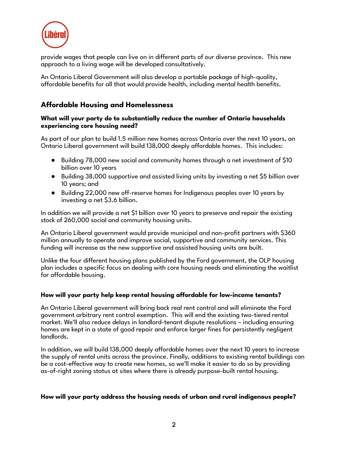

provide wages that people can live on in different parts of our diverse province. This new approach to a living wage will be developed consultatively.

An Ontario Liberal Government will also develop a portable package of high-quality, affordable benefits for all that would provide health, including mental health benefits.

## **Affordable Housing and Homelessness**

## **What will your party do to substantially reduce the number of Ontario households experiencing core housing need?**

As part of our plan to build 1.5 million new homes across Ontario over the next 10 years, an Ontario Liberal government will build 138,000 deeply affordable homes. This includes:

- Building 78,000 new social and community homes through a net investment of \$10 billion over 10 years
- Building 38,000 supportive and assisted living units by investing a net \$5 billion over 10 years; and
- Building 22,000 new off-reserve homes for Indigenous peoples over 10 years by investing a net \$3.6 billion.

In addition we will provide a net \$1 billion over 10 years to preserve and repair the existing stock of 260,000 social and community housing units.

An Ontario Liberal government would provide municipal and non-profit partners with \$360 million annually to operate and improve social, supportive and community services. This funding will increase as the new supportive and assisted housing units are built.

Unlike the four different housing plans published by the Ford government, the OLP housing plan includes a specific focus on dealing with core housing needs and eliminating the waitlist for affordable housing.

## **How will your party help keep rental housing affordable for low-income tenants?**

An Ontario Liberal government will bring back real rent control and will eliminate the Ford government arbitrary rent control exemption. This will end the existing two-tiered rental market. We'll also reduce delays in landlord-tenant dispute resolutions – including ensuring homes are kept in a state of good repair and enforce larger fines for persistently negligent landlords.

In addition, we will build 138,000 deeply affordable homes over the next 10 years to increase the supply of rental units across the province. Finally, additions to existing rental buildings can be a cost-effective way to create new homes, so we'll make it easier to do so by providing as-of-right zoning status at sites where there is already purpose-built rental housing.

#### **How will your party address the housing needs of urban and rural indigenous people?**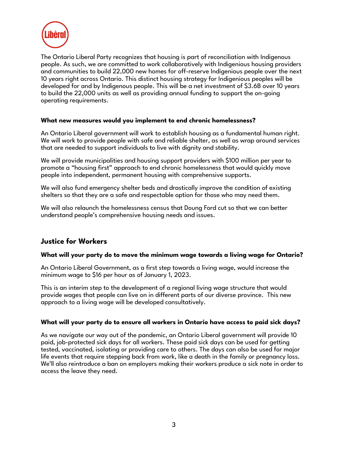

The Ontario Liberal Party recognizes that housing is part of reconciliation with Indigenous people. As such, we are committed to work collaboratively with Indigenious housing providers and communities to build 22,000 new homes for off-reserve Indigenious people over the next 10 years right across Ontario. This distinct housing strategy for Indigenious peoples will be developed for and by Indigenous people. This will be a net investment of \$3.6B over 10 years to build the 22,000 units as well as providing annual funding to support the on-going operating requirements.

## **What new measures would you implement to end chronic homelessness?**

An Ontario Liberal government will work to establish housing as a fundamental human right. We will work to provide people with safe and reliable shelter, as well as wrap around services that are needed to support individuals to live with dignity and stability.

We will provide municipalities and housing support providers with \$100 million per year to promote a "housing first" approach to end chronic homelessness that would quickly move people into independent, permanent housing with comprehensive supports.

We will also fund emergency shelter beds and drastically improve the condition of existing shelters so that they are a safe and respectable option for those who may need them.

We will also relaunch the homelessness census that Doung Ford cut so that we can better understand people's comprehensive housing needs and issues.

## **Justice for Workers**

#### **What will your party do to move the minimum wage towards a living wage for Ontario?**

An Ontario Liberal Government, as a first step towards a living wage, would increase the minimum wage to \$16 per hour as of January 1, 2023.

This is an interim step to the development of a regional living wage structure that would provide wages that people can live on in different parts of our diverse province. This new approach to a living wage will be developed consultatively.

#### **What will your party do to ensure all workers in Ontario have access to paid sick days?**

As we navigate our way out of the pandemic, an Ontario Liberal government will provide 10 paid, job-protected sick days for all workers. These paid sick days can be used for getting tested, vaccinated, isolating or providing care to others. The days can also be used for major life events that require stepping back from work, like a death in the family or pregnancy loss. We'll also reintroduce a ban on employers making their workers produce a sick note in order to access the leave they need.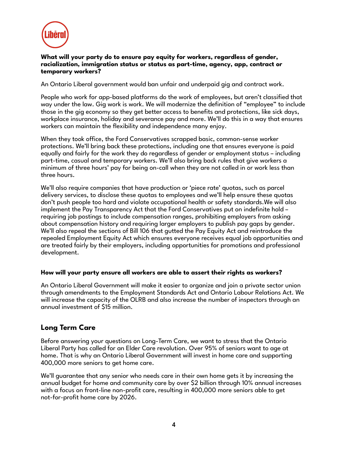

## **What will your party do to ensure pay equity for workers, regardless of gender, racialization, immigration status or status as part-time, agency, app, contract or temporary workers?**

An Ontario Liberal government would ban unfair and underpaid gig and contract work.

People who work for app-based platforms do the work of employees, but aren't classified that way under the law. Gig work is work. We will modernize the definition of "employee" to include those in the gig economy so they get better access to benefits and protections, like sick days, workplace insurance, holiday and severance pay and more. We'll do this in a way that ensures workers can maintain the flexibility and independence many enjoy.

When they took office, the Ford Conservatives scrapped basic, common-sense worker protections. We'll bring back these protections, including one that ensures everyone is paid equally and fairly for the work they do regardless of gender or employment status – including part-time, casual and temporary workers. We'll also bring back rules that give workers a minimum of three hours' pay for being on-call when they are not called in or work less than three hours.

We'll also require companies that have production or 'piece rate' quotas, such as parcel delivery services, to disclose these quotas to employees and we'll help ensure these quotas don't push people too hard and violate occupational health or safety standards.We will also implement the Pay Transparency Act that the Ford Conservatives put on indefinite hold – requiring job postings to include compensation ranges, prohibiting employers from asking about compensation history and requiring larger employers to publish pay gaps by gender. We'll also repeal the sections of Bill 106 that gutted the Pay Equity Act and reintroduce the repealed Employment Equity Act which ensures everyone receives equal job opportunities and are treated fairly by their employers, including opportunities for promotions and professional development.

#### **How will your party ensure all workers are able to assert their rights as workers?**

An Ontario Liberal Government will make it easier to organize and join a private sector union through amendments to the Employment Standards Act and Ontario Labour Relations Act. We will increase the capacity of the OLRB and also increase the number of inspectors through an annual investment of \$15 million.

## **Long Term Care**

Before answering your questions on Long-Term Care, we want to stress that the Ontario Liberal Party has called for an Elder Care revolution. Over 95% of seniors want to age at home. That is why an Ontario Liberal Government will invest in home care and supporting 400,000 more seniors to get home care.

We'll guarantee that any senior who needs care in their own home gets it by increasing the annual budget for home and community care by over \$2 billion through 10% annual increases with a focus on front-line non-profit care, resulting in 400,000 more seniors able to get not-for-profit home care by 2026.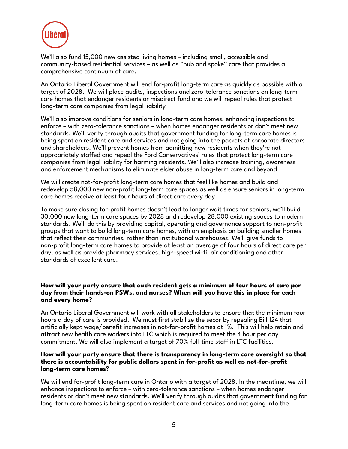

We'll also fund 15,000 new assisted living homes – including small, accessible and community-based residential services – as well as "hub and spoke" care that provides a comprehensive continuum of care.

An Ontario Liberal Government will end for-profit long-term care as quickly as possible with a target of 2028. We will place audits, inspections and zero-tolerance sanctions on long-term care homes that endanger residents or misdirect fund and we will repeal rules that protect long-term care companies from legal liability

We'll also improve conditions for seniors in long-term care homes, enhancing inspections to enforce – with zero-tolerance sanctions – when homes endanger residents or don't meet new standards. We'll verify through audits that government funding for long-term care homes is being spent on resident care and services and not going into the pockets of corporate directors and shareholders. We'll prevent homes from admitting new residents when they're not appropriately staffed and repeal the Ford Conservatives' rules that protect long-term care companies from legal liability for harming residents. We'll also increase training, awareness and enforcement mechanisms to eliminate elder abuse in long-term care and beyond

We will create not-for-profit long-term care homes that feel like homes and build and redevelop 58,000 new non-profit long-term care spaces as well as ensure seniors in long-term care homes receive at least four hours of direct care every day.

To make sure closing for-profit homes doesn't lead to longer wait times for seniors, we'll build 30,000 new long-term care spaces by 2028 and redevelop 28,000 existing spaces to modern standards. We'll do this by providing capital, operating and governance support to non-profit groups that want to build long-term care homes, with an emphasis on building smaller homes that reflect their communities, rather than institutional warehouses. We'll give funds to non-profit long-term care homes to provide at least an average of four hours of direct care per day, as well as provide pharmacy services, high-speed wi-fi, air conditioning and other standards of excellent care.

## **How will your party ensure that each resident gets a minimum of four hours of care per day from their hands-on PSWs, and nurses? When will you have this in place for each and every home?**

An Ontario Liberal Government will work with all stakeholders to ensure that the minimum four hours a day of care is provided. We must first stabilize the secor by repealing Bill 124 that artificially kept wage/benefit increases in not-for-profit homes at 1%. This will help retain and attract new health care workers into LTC which is required to meet the 4 hour per day commitment. We will also implement a target of 70% full-time staff in LTC facilities.

#### **How will your party ensure that there is transparency in long-term care oversight so that there is accountability for public dollars spent in for-profit as well as not-for-profit long-term care homes?**

We will end for-profit long-term care in Ontario with a target of 2028. In the meantime, we will enhance inspections to enforce – with zero-tolerance sanctions – when homes endanger residents or don't meet new standards. We'll verify through audits that government funding for long-term care homes is being spent on resident care and services and not going into the